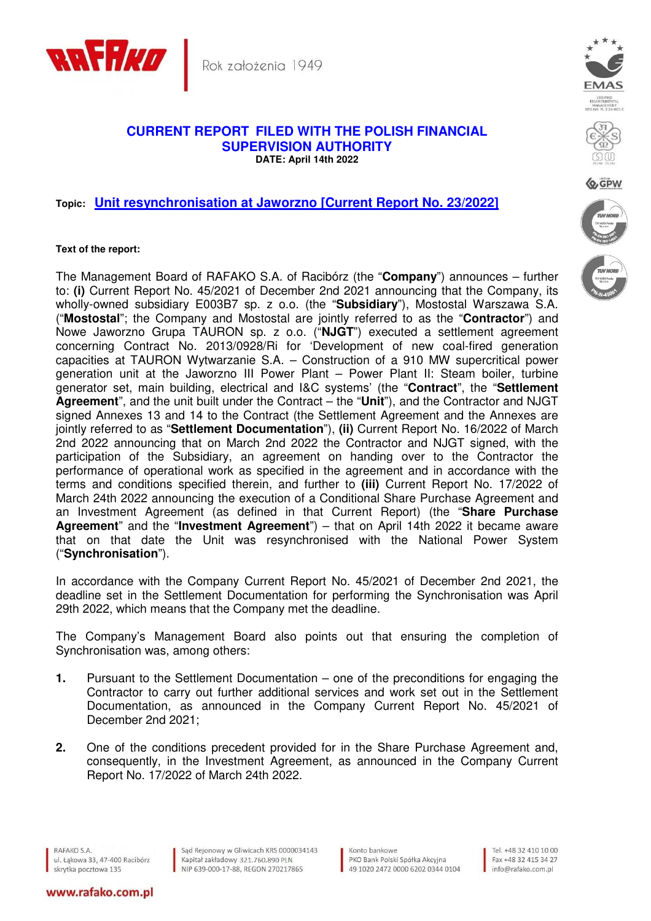

Rok założenia 1949

## **CURRENT REPORT FILED WITH THE POLISH FINANCIAL SUPERVISION AUTHORITY DATE: April 14th 2022**

## **Topic: Unit resynchronisation at Jaworzno [Current Report No. 23/2022]**

## **Text of the report:**

The Management Board of RAFAKO S.A. of Racibórz (the "**Company**") announces – further to: **(i)** Current Report No. 45/2021 of December 2nd 2021 announcing that the Company, its wholly-owned subsidiary E003B7 sp. z o.o. (the "**Subsidiary**"), Mostostal Warszawa S.A. ("**Mostostal**"; the Company and Mostostal are jointly referred to as the "**Contractor**") and Nowe Jaworzno Grupa TAURON sp. z o.o. ("**NJGT**") executed a settlement agreement concerning Contract No. 2013/0928/Ri for 'Development of new coal-fired generation capacities at TAURON Wytwarzanie S.A. – Construction of a 910 MW supercritical power generation unit at the Jaworzno III Power Plant – Power Plant II: Steam boiler, turbine generator set, main building, electrical and I&C systems' (the "**Contract**", the "**Settlement Agreement**", and the unit built under the Contract – the "**Unit**"), and the Contractor and NJGT signed Annexes 13 and 14 to the Contract (the Settlement Agreement and the Annexes are jointly referred to as "**Settlement Documentation**"), **(ii)** Current Report No. 16/2022 of March 2nd 2022 announcing that on March 2nd 2022 the Contractor and NJGT signed, with the participation of the Subsidiary, an agreement on handing over to the Contractor the performance of operational work as specified in the agreement and in accordance with the terms and conditions specified therein, and further to **(iii)** Current Report No. 17/2022 of March 24th 2022 announcing the execution of a Conditional Share Purchase Agreement and an Investment Agreement (as defined in that Current Report) (the "**Share Purchase Agreement**" and the "**Investment Agreement**") – that on April 14th 2022 it became aware that on that date the Unit was resynchronised with the National Power System ("**Synchronisation**").

In accordance with the Company Current Report No. 45/2021 of December 2nd 2021, the deadline set in the Settlement Documentation for performing the Synchronisation was April 29th 2022, which means that the Company met the deadline.

The Company's Management Board also points out that ensuring the completion of Synchronisation was, among others:

- **1.** Pursuant to the Settlement Documentation one of the preconditions for engaging the Contractor to carry out further additional services and work set out in the Settlement Documentation, as announced in the Company Current Report No. 45/2021 of December 2nd 2021;
- **2.** One of the conditions precedent provided for in the Share Purchase Agreement and, consequently, in the Investment Agreement, as announced in the Company Current Report No. 17/2022 of March 24th 2022.

RAFAKO S.A. ul. Łąkowa 33, 47-400 Racibórz skrytka pocztowa 135

Sąd Rejonowy w Gliwicach KRS 0000034143 Kapitał zakładowy 321.760.890 PLN NIP 639-000-17-88, REGON 270217865

Konto bankowe PKO Bank Polski Spółka Akcyjna 49 1020 2472 0000 6202 0344 0104





Q GPW